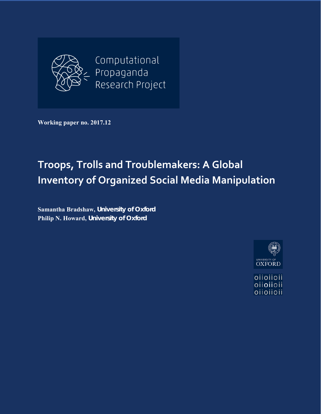

**Working paper no. 2017.12** 

# **Troops, Trolls and Troublemakers: A Global Inventory of Organized Social Media Manipulation**

**Samantha Bradshaw,** *University of Oxford* **Philip N. Howard,** *University of Oxford*



oiioiioii oiioiioii oiioiioii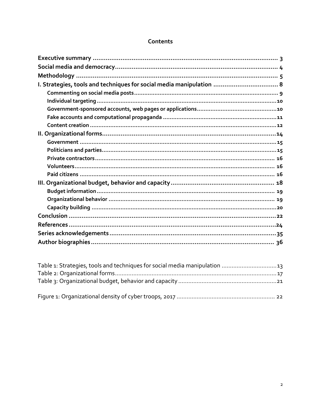#### Contents

| I. Strategies, tools and techniques for social media manipulation  8 |
|----------------------------------------------------------------------|
|                                                                      |
|                                                                      |
|                                                                      |
|                                                                      |
|                                                                      |
|                                                                      |
|                                                                      |
|                                                                      |
|                                                                      |
|                                                                      |
|                                                                      |
|                                                                      |
|                                                                      |
|                                                                      |
|                                                                      |
|                                                                      |
|                                                                      |
|                                                                      |
|                                                                      |

| Table 1: Strategies, tools and techniques for social media manipulation 13 |  |
|----------------------------------------------------------------------------|--|
|                                                                            |  |
|                                                                            |  |
|                                                                            |  |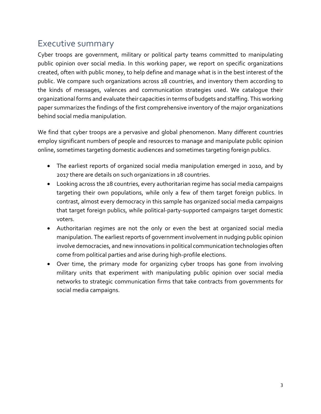### Executive summary

Cyber troops are government, military or political party teams committed to manipulating public opinion over social media. In this working paper, we report on specific organizations created, often with public money, to help define and manage what is in the best interest of the public. We compare such organizations across 28 countries, and inventory them according to the kinds of messages, valences and communication strategies used. We catalogue their organizational forms and evaluate their capacities in terms of budgets and staffing. This working paper summarizes the findings of the first comprehensive inventory of the major organizations behind social media manipulation.

We find that cyber troops are a pervasive and global phenomenon. Many different countries employ significant numbers of people and resources to manage and manipulate public opinion online, sometimes targeting domestic audiences and sometimes targeting foreign publics.

- The earliest reports of organized social media manipulation emerged in 2010, and by 2017 there are details on such organizations in 28 countries.
- Looking across the 28 countries, every authoritarian regime has social media campaigns targeting their own populations, while only a few of them target foreign publics. In contrast, almost every democracy in this sample has organized social media campaigns that target foreign publics, while political‐party‐supported campaigns target domestic voters.
- Authoritarian regimes are not the only or even the best at organized social media manipulation. The earliest reports of government involvement in nudging public opinion involve democracies, and new innovations in political communication technologies often come from political parties and arise during high‐profile elections.
- Over time, the primary mode for organizing cyber troops has gone from involving military units that experiment with manipulating public opinion over social media networks to strategic communication firms that take contracts from governments for social media campaigns.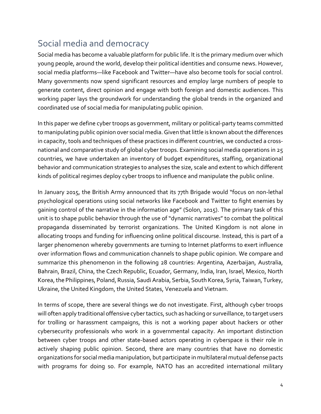# Social media and democracy

Social media has become a valuable platform for public life. It is the primary medium over which young people, around the world, develop their political identities and consume news. However, social media platforms—like Facebook and Twitter—have also become tools for social control. Many governments now spend significant resources and employ large numbers of people to generate content, direct opinion and engage with both foreign and domestic audiences. This working paper lays the groundwork for understanding the global trends in the organized and coordinated use of social media for manipulating public opinion.

In this paper we define cyber troops as government, military or political‐party teams committed to manipulating public opinion over social media. Given that little is known about the differences in capacity, tools and techniques of these practices in different countries, we conducted a cross‐ national and comparative study of global cyber troops. Examining social media operations in 25 countries, we have undertaken an inventory of budget expenditures, staffing, organizational behavior and communication strategies to analyses the size, scale and extent to which different kinds of political regimes deploy cyber troops to influence and manipulate the public online.

In January 2015, the British Army announced that its 77th Brigade would "focus on non‐lethal psychological operations using social networks like Facebook and Twitter to fight enemies by gaining control of the narrative in the information age" (Solon, 2015). The primary task of this unit is to shape public behavior through the use of "dynamic narratives" to combat the political propaganda disseminated by terrorist organizations. The United Kingdom is not alone in allocating troops and funding for influencing online political discourse. Instead, this is part of a larger phenomenon whereby governments are turning to Internet platforms to exert influence over information flows and communication channels to shape public opinion. We compare and summarize this phenomenon in the following 28 countries: Argentina, Azerbaijan, Australia, Bahrain, Brazil, China, the Czech Republic, Ecuador, Germany, India, Iran, Israel, Mexico, North Korea, the Philippines, Poland, Russia, Saudi Arabia, Serbia, South Korea, Syria, Taiwan, Turkey, Ukraine, the United Kingdom, the United States, Venezuela and Vietnam.

In terms of scope, there are several things we do not investigate. First, although cyber troops will often apply traditional offensive cyber tactics, such as hacking or surveillance, to target users for trolling or harassment campaigns, this is not a working paper about hackers or other cybersecurity professionals who work in a governmental capacity. An important distinction between cyber troops and other state‐based actors operating in cyberspace is their role in actively shaping public opinion. Second, there are many countries that have no domestic organizations for social media manipulation, but participate in multilateral mutual defense pacts with programs for doing so. For example, NATO has an accredited international military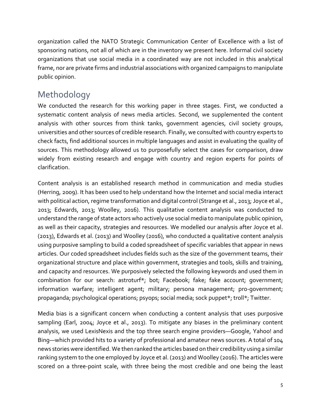organization called the NATO Strategic Communication Center of Excellence with a list of sponsoring nations, not all of which are in the inventory we present here. Informal civil society organizations that use social media in a coordinated way are not included in this analytical frame, nor are private firms and industrial associations with organized campaigns to manipulate public opinion.

# Methodology

We conducted the research for this working paper in three stages. First, we conducted a systematic content analysis of news media articles. Second, we supplemented the content analysis with other sources from think tanks, government agencies, civil society groups, universities and other sources of credible research. Finally, we consulted with country experts to check facts, find additional sources in multiple languages and assist in evaluating the quality of sources. This methodology allowed us to purposefully select the cases for comparison, draw widely from existing research and engage with country and region experts for points of clarification.

Content analysis is an established research method in communication and media studies (Herring, 2009). It has been used to help understand how the Internet and social media interact with political action, regime transformation and digital control (Strange et al., 2013; Joyce et al., 2013; Edwards, 2013; Woolley, 2016). This qualitative content analysis was conducted to understand the range of state actors who actively use social media to manipulate public opinion, as well as their capacity, strategies and resources. We modelled our analysis after Joyce et al. (2013), Edwards et al. (2013) and Woolley (2016), who conducted a qualitative content analysis using purposive sampling to build a coded spreadsheet of specific variables that appear in news articles. Our coded spreadsheet includes fields such as the size of the government teams, their organizational structure and place within government, strategies and tools, skills and training, and capacity and resources. We purposively selected the following keywords and used them in combination for our search: astroturf\*; bot; Facebook; fake; fake account; government; information warfare; intelligent agent; military; persona management; pro-government; propaganda; psychological operations; psyops; social media; sock puppet\*; troll\*; Twitter.

Media bias is a significant concern when conducting a content analysis that uses purposive sampling (Earl, 2004; Joyce et al., 2013). To mitigate any biases in the preliminary content analysis, we used LexisNexis and the top three search engine providers—Google, Yahoo! and Bing—which provided hits to a variety of professional and amateur news sources. A total of 104 news stories were identified. We then ranked the articles based on their credibility using a similar ranking system to the one employed by Joyce et al. (2013) and Woolley (2016). The articles were scored on a three-point scale, with three being the most credible and one being the least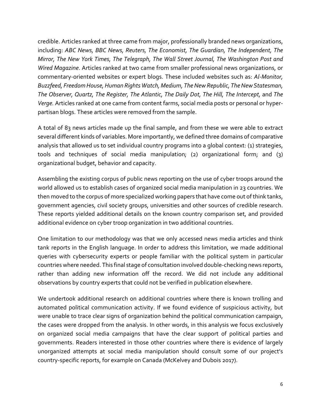credible. Articles ranked at three came from major, professionally branded news organizations, including: *ABC News, BBC News, Reuters, The Economist, The Guardian, The Independent, The Mirror, The New York Times, The Telegraph, The Wall Street Journal, The Washington Post and Wired Magazine*. Articles ranked at two came from smaller professional news organizations, or commentary‐oriented websites or expert blogs. These included websites such as: *Al‐Monitor, Buzzfeed, FreedomHouse,Human Rights Watch,Medium, TheNew Republic, TheNew Statesman, The Observer, Quartz, The Register, The Atlantic, The Daily Dot, The Hill, The Intercept,* and *The Verge.* Articles ranked at one came from content farms, social media posts or personal or hyper‐ partisan blogs. These articles were removed from the sample.

A total of 83 news articles made up the final sample, and from these we were able to extract several different kinds of variables. More importantly, we defined three domains of comparative analysis that allowed us to set individual country programs into a global context: (1) strategies, tools and techniques of social media manipulation; (2) organizational form; and (3) organizational budget, behavior and capacity.

Assembling the existing corpus of public news reporting on the use of cyber troops around the world allowed us to establish cases of organized social media manipulation in 23 countries. We then moved to the corpus of more specialized working papers that have come out of think tanks, government agencies, civil society groups, universities and other sources of credible research. These reports yielded additional details on the known country comparison set, and provided additional evidence on cyber troop organization in two additional countries.

One limitation to our methodology was that we only accessed news media articles and think tank reports in the English language. In order to address this limitation, we made additional queries with cybersecurity experts or people familiar with the political system in particular countries where needed. This final stage of consultation involved double‐checking news reports, rather than adding new information off the record. We did not include any additional observations by country experts that could not be verified in publication elsewhere.

We undertook additional research on additional countries where there is known trolling and automated political communication activity. If we found evidence of suspicious activity, but were unable to trace clear signs of organization behind the political communication campaign, the cases were dropped from the analysis. In other words, in this analysis we focus exclusively on organized social media campaigns that have the clear support of political parties and governments. Readers interested in those other countries where there is evidence of largely unorganized attempts at social media manipulation should consult some of our project's country‐specific reports, for example on Canada (McKelvey and Dubois 2017).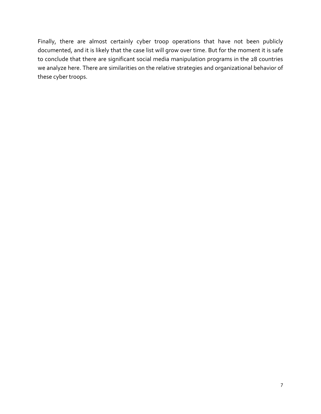Finally, there are almost certainly cyber troop operations that have not been publicly documented, and it is likely that the case list will grow over time. But for the moment it is safe to conclude that there are significant social media manipulation programs in the 28 countries we analyze here. There are similarities on the relative strategies and organizational behavior of these cyber troops.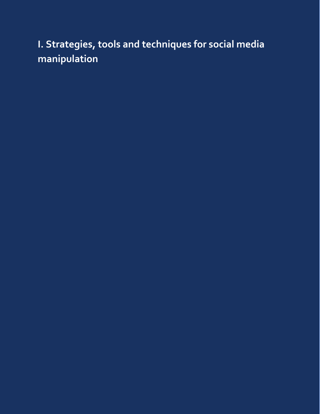# **I. Strategies, tools and techniques for social media manipulation**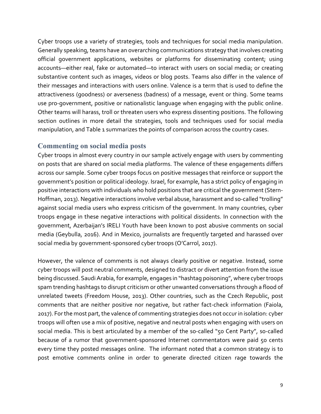Cyber troops use a variety of strategies, tools and techniques for social media manipulation. Generally speaking, teams have an overarching communications strategy that involves creating official government applications, websites or platforms for disseminating content; using accounts—either real, fake or automated—to interact with users on social media; or creating substantive content such as images, videos or blog posts. Teams also differ in the valence of their messages and interactions with users online. Valence is a term that is used to define the attractiveness (goodness) or averseness (badness) of a message, event or thing. Some teams use pro‐government, positive or nationalistic language when engaging with the public online. Other teams will harass, troll or threaten users who express dissenting positions. The following section outlines in more detail the strategies, tools and techniques used for social media manipulation, and Table 1 summarizes the points of comparison across the country cases.

#### **Commenting on social media posts**

Cyber troops in almost every country in our sample actively engage with users by commenting on posts that are shared on social media platforms. The valence of these engagements differs across our sample. Some cyber troops focus on positive messages that reinforce or support the government's position or political ideology. Israel, for example, has a strict policy of engaging in positive interactions with individuals who hold positions that are critical the government (Stern‐ Hoffman, 2013). Negative interactions involve verbal abuse, harassment and so-called "trolling" against social media users who express criticism of the government. In many countries, cyber troops engage in these negative interactions with political dissidents. In connection with the government, Azerbaijan's IRELI Youth have been known to post abusive comments on social media (Geybulla, 2016). And in Mexico, journalists are frequently targeted and harassed over social media by government‐sponsored cyber troops (O'Carrol, 2017).

However, the valence of comments is not always clearly positive or negative. Instead, some cyber troops will post neutral comments, designed to distract or divert attention from the issue being discussed. Saudi Arabia, for example, engages in "hashtag poisoning", where cyber troops spam trending hashtags to disrupt criticism or other unwanted conversations through a flood of unrelated tweets (Freedom House, 2013). Other countries, such as the Czech Republic, post comments that are neither positive nor negative, but rather fact‐check information (Faiola, 2017). For the most part, the valence of commenting strategies does not occur in isolation: cyber troops will often use a mix of positive, negative and neutral posts when engaging with users on social media. This is best articulated by a member of the so-called "50 Cent Party", so-called because of a rumor that government-sponsored Internet commentators were paid 50 cents every time they posted messages online. The informant noted that a common strategy is to post emotive comments online in order to generate directed citizen rage towards the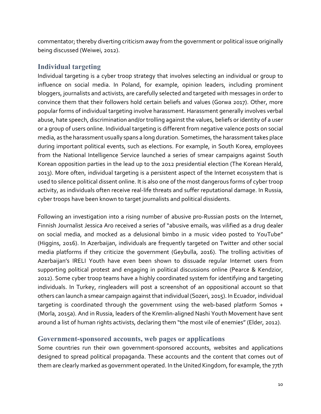commentator; thereby diverting criticism away from the government or political issue originally being discussed (Weiwei, 2012).

#### **Individual targeting**

Individual targeting is a cyber troop strategy that involves selecting an individual or group to influence on social media. In Poland, for example, opinion leaders, including prominent bloggers, journalists and activists, are carefully selected and targeted with messages in order to convince them that their followers hold certain beliefs and values (Gorwa 2017). Other, more popular forms of individual targeting involve harassment. Harassment generally involves verbal abuse, hate speech, discrimination and/or trolling against the values, beliefs or identity of a user or a group of users online. Individual targeting is different from negative valence posts on social media, as the harassment usually spans a long duration. Sometimes, the harassment takes place during important political events, such as elections. For example, in South Korea, employees from the National Intelligence Service launched a series of smear campaigns against South Korean opposition parties in the lead up to the 2012 presidential election (The Korean Herald, 2013). More often, individual targeting is a persistent aspect of the Internet ecosystem that is used to silence political dissent online. It is also one of the most dangerous forms of cyber troop activity, as individuals often receive real-life threats and suffer reputational damage. In Russia, cyber troops have been known to target journalists and political dissidents.

Following an investigation into a rising number of abusive pro-Russian posts on the Internet, Finnish Journalist Jessica Aro received a series of "abusive emails, was vilified as a drug dealer on social media, and mocked as a delusional bimbo in a music video posted to YouTube" (Higgins, 2016). In Azerbaijan, individuals are frequently targeted on Twitter and other social media platforms if they criticize the government (Geybulla, 2016). The trolling activities of Azerbaijan's IRELI Youth have even been shown to dissuade regular Internet users from supporting political protest and engaging in political discussions online (Pearce & Kendzior, 2012). Some cyber troop teams have a highly coordinated system for identifying and targeting individuals. In Turkey, ringleaders will post a screenshot of an oppositional account so that others can launch a smear campaign against that individual (Sozeri, 2015). In Ecuador, individual targeting is coordinated through the government using the web-based platform Somos + (Morla, 2015a). And in Russia, leaders of the Kremlin‐aligned Nashi Youth Movement have sent around a list of human rights activists, declaring them "the most vile of enemies" (Elder, 2012).

#### **Government-sponsored accounts, web pages or applications**

Some countries run their own government‐sponsored accounts, websites and applications designed to spread political propaganda. These accounts and the content that comes out of them are clearly marked as government operated. In the United Kingdom, for example, the 77th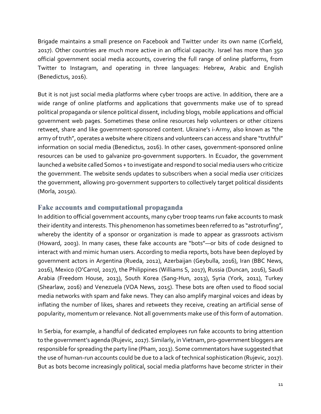Brigade maintains a small presence on Facebook and Twitter under its own name (Corfield, 2017). Other countries are much more active in an official capacity. Israel has more than 350 official government social media accounts, covering the full range of online platforms, from Twitter to Instagram, and operating in three languages: Hebrew, Arabic and English (Benedictus, 2016).

But it is not just social media platforms where cyber troops are active. In addition, there are a wide range of online platforms and applications that governments make use of to spread political propaganda or silence political dissent, including blogs, mobile applications and official government web pages. Sometimes these online resources help volunteers or other citizens retweet, share and like government‐sponsored content. Ukraine's i‐Army, also known as "the army of truth", operates a website where citizens and volunteers can access and share "truthful" information on social media (Benedictus, 2016). In other cases, government‐sponsored online resources can be used to galvanize pro‐government supporters. In Ecuador, the government launched a website called Somos + to investigate and respond to social media users who criticize the government. The website sends updates to subscribers when a social media user criticizes the government, allowing pro‐government supporters to collectively target political dissidents (Morla, 2015a).

#### **Fake accounts and computational propaganda**

In addition to official government accounts, many cyber troop teams run fake accounts to mask their identity and interests. This phenomenon has sometimes been referred to as "astroturfing", whereby the identity of a sponsor or organization is made to appear as grassroots activism (Howard, 2003). In many cases, these fake accounts are "bots"—or bits of code designed to interact with and mimic human users. According to media reports, bots have been deployed by government actors in Argentina (Rueda, 2012), Azerbaijan (Geybulla, 2016), Iran (BBC News, 2016), Mexico (O'Carrol, 2017), the Philippines (Williams S, 2017), Russia (Duncan, 2016), Saudi Arabia (Freedom House, 2013), South Korea (Sang‐Hun, 2013), Syria (York, 2011), Turkey (Shearlaw, 2016) and Venezuela (VOA News, 2015). These bots are often used to flood social media networks with spam and fake news. They can also amplify marginal voices and ideas by inflating the number of likes, shares and retweets they receive, creating an artificial sense of popularity, momentum or relevance. Not all governments make use of this form of automation.

In Serbia, for example, a handful of dedicated employees run fake accounts to bring attention to the government's agenda (Rujevic, 2017). Similarly, in Vietnam, pro‐government bloggers are responsible for spreading the party line (Pham, 2013). Some commentators have suggested that the use of human‐run accounts could be due to a lack of technical sophistication (Rujevic, 2017). But as bots become increasingly political, social media platforms have become stricter in their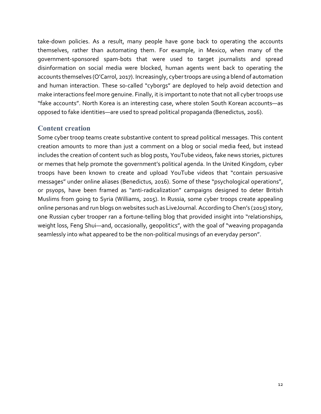take‐down policies. As a result, many people have gone back to operating the accounts themselves, rather than automating them. For example, in Mexico, when many of the government‐sponsored spam‐bots that were used to target journalists and spread disinformation on social media were blocked, human agents went back to operating the accounts themselves (O'Carrol, 2017). Increasingly, cybertroops are using a blend of automation and human interaction. These so-called "cyborgs" are deployed to help avoid detection and make interactions feel more genuine. Finally, it is important to note that not all cyber troops use "fake accounts". North Korea is an interesting case, where stolen South Korean accounts—as opposed to fake identities—are used to spread political propaganda (Benedictus, 2016).

#### **Content creation**

Some cyber troop teams create substantive content to spread political messages. This content creation amounts to more than just a comment on a blog or social media feed, but instead includes the creation of content such as blog posts, YouTube videos, fake news stories, pictures or memes that help promote the government's political agenda. In the United Kingdom, cyber troops have been known to create and upload YouTube videos that "contain persuasive messages" under online aliases (Benedictus, 2016). Some of these "psychological operations", or psyops, have been framed as "anti‐radicalization" campaigns designed to deter British Muslims from going to Syria (Williams, 2015). In Russia, some cyber troops create appealing online personas and run blogs on websites such as LiveJournal. According to Chen's (2015) story, one Russian cyber trooper ran a fortune-telling blog that provided insight into "relationships, weight loss, Feng Shui—and, occasionally, geopolitics", with the goal of "weaving propaganda seamlessly into what appeared to be the non-political musings of an everyday person".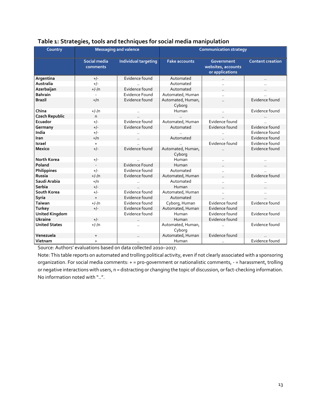| Country               | <b>Messaging and valence</b>     |                       | <b>Communication strategy</b> |                                                     |                         |
|-----------------------|----------------------------------|-----------------------|-------------------------------|-----------------------------------------------------|-------------------------|
|                       | Social media<br>comments         | Individual targeting  | <b>Fake accounts</b>          | Government<br>websites, accounts<br>or applications | <b>Content creation</b> |
| Argentina             | $+/-$                            | Evidence found        | Automated                     |                                                     |                         |
| Australia             | $+/-$                            |                       | Automated                     |                                                     |                         |
| Azerbaijan            | $+/-/n$                          | Evidence found        | Automated                     |                                                     |                         |
| <b>Bahrain</b>        |                                  | <b>Evidence Found</b> | Automated, Human              |                                                     |                         |
| <b>Brazil</b>         | $+/\nceil$                       | Evidence found        | Automated, Human,<br>Cyborg   |                                                     | Evidence found          |
| China                 | $+/-/n$                          |                       | Human                         | $\sim$                                              | Evidence found          |
| <b>Czech Republic</b> | n                                |                       |                               |                                                     |                         |
| Ecuador               | $+/-$                            | Evidence found        | Automated, Human              | Evidence found                                      |                         |
| Germany               | $+/-$                            | Evidence found        | Automated                     | Evidence found                                      | Evidence found          |
| India                 | $+/-$                            |                       |                               |                                                     | Evidence found          |
| Iran                  | $+/\text{n}$                     |                       | Automated                     |                                                     | Evidence found          |
| Israel                | $+$                              |                       |                               | Evidence found                                      | Evidence found          |
| <b>Mexico</b>         | $+/-$                            | Evidence found        | Automated, Human,<br>Cyborg   | $\ddot{\phantom{a}}$                                | Evidence found          |
| <b>North Korea</b>    | $+/-$                            |                       | Human                         |                                                     |                         |
| Poland                |                                  | Evidence Found        | Human                         |                                                     |                         |
| Philippines           | $+/-$                            | Evidence found        | Automated                     | $\ddotsc$                                           |                         |
| Russia                | $+/-/n$                          | Evidence found        | Automated, Human              | $\ddotsc$                                           | Evidence found          |
| Saudi Arabia          | $+/\nceil$                       |                       | Automated                     | $\ddotsc$                                           |                         |
| <b>Serbia</b>         | $+/-$                            |                       | Human                         |                                                     |                         |
| South Korea           | $+/-$                            | Evidence found        | Automated, Human              | $\ddot{\phantom{a}}$                                | $\ddot{\phantom{a}}$    |
| Syria                 | $+$                              | Evidence found        | Automated                     |                                                     |                         |
| <b>Taiwan</b>         | $+/-/n$                          | Evidence found        | Cyborg, Human                 | Evidence found                                      | Evidence found          |
| <b>Turkey</b>         | $+/-$                            | Evidence found        | Automated, Human              | Evidence found                                      |                         |
| <b>United Kingdom</b> |                                  | Evidence found        | Human                         | Evidence found                                      | Evidence found          |
| <b>Ukraine</b>        | $+/-$                            |                       | Human                         | Evidence found                                      |                         |
| <b>United States</b>  | $+/-/n$                          |                       | Automated, Human,<br>Cyborg   |                                                     | Evidence found          |
| Venezuela             | $\begin{array}{c} + \end{array}$ |                       | Automated, Human              | Evidence found                                      |                         |
| Vietnam               | $+$                              |                       | Human                         | $\cdot$ .                                           | Evidence found          |

#### **Table 1: Strategies, tools and techniques for social media manipulation**

Source: Authors' evaluations based on data collected 2010–2017.

Note: This table reports on automated and trolling political activity, even if not clearly associated with a sponsoring organization. For social media comments: + = pro‐government or nationalistic comments, ‐ = harassment, trolling or negative interactions with users, n = distracting or changing the topic of discussion, or fact-checking information. No information noted with "..".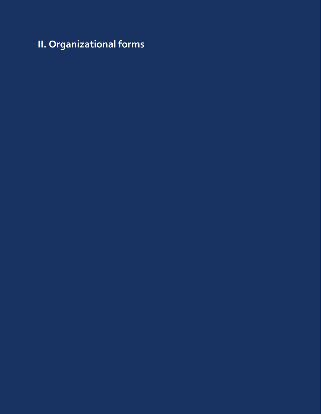**II. Organizational forms**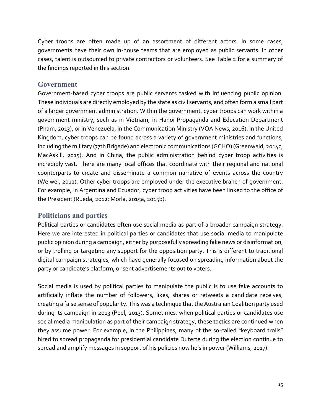Cyber troops are often made up of an assortment of different actors. In some cases, governments have their own in‐house teams that are employed as public servants. In other cases, talent is outsourced to private contractors or volunteers. See Table 2 for a summary of the findings reported in this section.

#### **Government**

Government-based cyber troops are public servants tasked with influencing public opinion. These individuals are directly employed by the state as civil servants, and often form a small part of a larger government administration. Within the government, cyber troops can work within a government ministry, such as in Vietnam, in Hanoi Propaganda and Education Department (Pham, 2013), or in Venezuela, in the Communication Ministry (VOA News, 2016). In the United Kingdom, cyber troops can be found across a variety of government ministries and functions, including the military (77th Brigade) and electronic communications (GCHQ) (Greenwald, 2014c; MacAskill, 2015). And in China, the public administration behind cyber troop activities is incredibly vast. There are many local offices that coordinate with their regional and national counterparts to create and disseminate a common narrative of events across the country (Weiwei, 2012). Other cyber troops are employed under the executive branch of government. For example, in Argentina and Ecuador, cyber troop activities have been linked to the office of the President (Rueda, 2012; Morla, 2015a, 2015b).

#### **Politicians and parties**

Political parties or candidates often use social media as part of a broader campaign strategy. Here we are interested in political parties or candidates that use social media to manipulate public opinion during a campaign, either by purposefully spreading fake news or disinformation, or by trolling or targeting any support for the opposition party. This is different to traditional digital campaign strategies, which have generally focused on spreading information about the party or candidate's platform, or sent advertisements out to voters.

Social media is used by political parties to manipulate the public is to use fake accounts to artificially inflate the number of followers, likes, shares or retweets a candidate receives, creating a false sense of popularity. This was a technique thatthe Australian Coalition party used during its campaign in 2013 (Peel, 2013). Sometimes, when political parties or candidates use social media manipulation as part of their campaign strategy, these tactics are continued when they assume power. For example, in the Philippines, many of the so-called "keyboard trolls" hired to spread propaganda for presidential candidate Duterte during the election continue to spread and amplify messages in support of his policies now he's in power (Williams, 2017).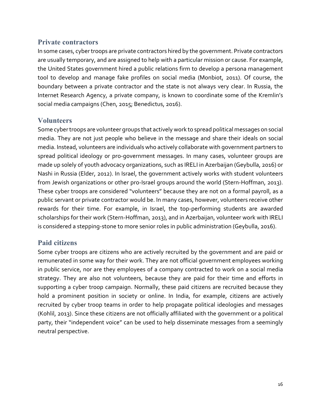#### **Private contractors**

In some cases, cybertroops are private contractors hired by the government. Private contractors are usually temporary, and are assigned to help with a particular mission or cause. For example, the United States government hired a public relations firm to develop a persona management tool to develop and manage fake profiles on social media (Monbiot, 2011). Of course, the boundary between a private contractor and the state is not always very clear. In Russia, the Internet Research Agency, a private company, is known to coordinate some of the Kremlin's social media campaigns (Chen, 2015; Benedictus, 2016).

#### **Volunteers**

Some cybertroops are volunteer groups that actively work to spread political messages on social media. They are not just people who believe in the message and share their ideals on social media. Instead, volunteers are individuals who actively collaborate with government partners to spread political ideology or pro‐government messages. In many cases, volunteer groups are made up solely of youth advocacy organizations, such as IRELI in Azerbaijan (Geybulla, 2016) or Nashi in Russia (Elder, 2012). In Israel, the government actively works with student volunteers from Jewish organizations or other pro-Israel groups around the world (Stern-Hoffman, 2013). These cyber troops are considered "volunteers" because they are not on a formal payroll, as a public servant or private contractor would be. In many cases, however, volunteers receive other rewards for their time. For example, in Israel, the top-performing students are awarded scholarships for their work (Stern‐Hoffman, 2013), and in Azerbaijan, volunteer work with IRELI is considered a stepping‐stone to more senior roles in public administration (Geybulla, 2016).

#### **Paid citizens**

Some cyber troops are citizens who are actively recruited by the government and are paid or remunerated in some way for their work. They are not official government employees working in public service, nor are they employees of a company contracted to work on a social media strategy. They are also not volunteers, because they are paid for their time and efforts in supporting a cyber troop campaign. Normally, these paid citizens are recruited because they hold a prominent position in society or online. In India, for example, citizens are actively recruited by cyber troop teams in order to help propagate political ideologies and messages (Kohlil, 2013). Since these citizens are not officially affiliated with the government or a political party, their "independent voice" can be used to help disseminate messages from a seemingly neutral perspective.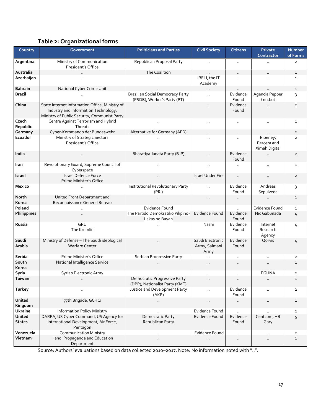#### **Table 2: Organizational forms**

| Country                 | <b>Government</b>                                                                                                                      | <b>Politicians and Parties</b>                                         | <b>Civil Society</b>                      | <b>Citizens</b>      | Private<br>Contractor                    | <b>Number</b><br>of Forms |
|-------------------------|----------------------------------------------------------------------------------------------------------------------------------------|------------------------------------------------------------------------|-------------------------------------------|----------------------|------------------------------------------|---------------------------|
| Argentina               | Ministry of Communication<br>President's Office                                                                                        | Republican Proposal Party                                              | $\ldots$                                  | $\ddot{\phantom{a}}$ |                                          | $\overline{2}$            |
| Australia               |                                                                                                                                        | The Coalition                                                          |                                           |                      |                                          | $\mathbf 1$               |
| Azerbaijan              |                                                                                                                                        |                                                                        | IRELI, the IT<br>Academy                  |                      |                                          | $\mathbf{1}$              |
| <b>Bahrain</b>          | National Cyber Crime Unit                                                                                                              |                                                                        |                                           |                      |                                          | 1                         |
| <b>Brazil</b>           |                                                                                                                                        | <b>Brazilian Social Democracy Party</b><br>(PSDB), Worker's Party (PT) | $\ddotsc$                                 | Evidence<br>Found    | Agencia Pepper<br>/ no.bot               | 3                         |
| China                   | State Internet Information Office, Ministry of<br>Industry and Information Technology,<br>Ministry of Public Security, Communist Party |                                                                        |                                           | Evidence<br>Found    |                                          | $\overline{\mathbf{2}}$   |
| Czech<br>Republic       | Centre Against Terrorism and Hybrid<br>Threats                                                                                         |                                                                        | $\ddot{\phantom{a}}$                      |                      | $\ddotsc$                                | 1                         |
| Germany                 | Cyber-Kommando der Bundeswehr                                                                                                          | Alternative for Germany (AFD)                                          |                                           |                      |                                          | $\overline{2}$            |
| Ecuador                 | Ministry of Strategic Sectors<br>President's Office                                                                                    |                                                                        |                                           |                      | Ribeney,<br>Percera and<br>Ximah Digital | $\overline{2}$            |
| India                   |                                                                                                                                        | Bharatiya Janata Party (BJP)                                           | $\ddotsc$                                 | Evidence<br>Found    | $\ddotsc$                                | $\overline{2}$            |
| Iran                    | Revolutionary Guard, Supreme Council of<br>Cyberspace                                                                                  |                                                                        | $\cdot$ .                                 |                      | $\ddotsc$                                | 1                         |
| Israel                  | Israel Defence Force<br>Prime Minister's Office                                                                                        |                                                                        | <b>Israel Under Fire</b>                  | $\ddot{\phantom{a}}$ |                                          | $\overline{2}$            |
| Mexico                  |                                                                                                                                        | Institutional Revolutionary Party<br>(PRI)                             | $\ddotsc$                                 | Evidence<br>Found    | Andreas<br>Sepulveda                     | 3                         |
| North<br>Korea          | United Front Department and<br>Reconnaissance General Bureau                                                                           | $\ddotsc$                                                              | $\ddotsc$                                 | $\ddotsc$            |                                          | $\mathbf{1}$              |
| Poland                  |                                                                                                                                        | <b>Evidence Found</b>                                                  |                                           |                      | <b>Evidence Found</b>                    | $\mathbf{1}$              |
| Philippines             |                                                                                                                                        | The Partido Demokratiko Pilipino-<br>Lakas ng Bayan                    | <b>Evidence Found</b>                     | Evidence<br>Found    | Nic Gabunada                             | 4                         |
| Russia                  | GRU<br>The Kremlin                                                                                                                     |                                                                        | Nashi                                     | Evidence<br>Found    | Internet<br>Research<br>Agency           | 4                         |
| Saudi<br>Arabia         | Ministry of Defense - The Saudi ideological<br><b>Warfare Center</b>                                                                   | $\ddot{\phantom{a}}$                                                   | Saudi Electronic<br>Army, Salmani<br>Army | Evidence<br>Found    | Qorvis                                   | 4                         |
| Serbia                  | Prime Minister's Office                                                                                                                | Serbian Progressive Party                                              |                                           |                      |                                          | 2                         |
| South<br>Korea          | National Intelligence Service                                                                                                          |                                                                        | $\ddotsc$                                 | $\ddotsc$            | $\ddotsc$                                | 1                         |
| Syria                   | Syrian Electronic Army                                                                                                                 |                                                                        | $\cdot$ .                                 | $\ddot{\phantom{a}}$ | <b>EGHNA</b>                             | 2                         |
| Taiwan                  |                                                                                                                                        | Democratic Progressive Party<br>(DPP), Nationalist Party (KMT)         |                                           |                      |                                          |                           |
| Turkey                  |                                                                                                                                        | Justice and Development Party<br>(AKP)                                 |                                           | Evidence<br>Found    | $\ddotsc$                                | $\overline{2}$            |
| United<br>Kingdom       | 77th Brigade, GCHQ                                                                                                                     | $\ddot{\phantom{a}}$                                                   |                                           |                      | $\ldots$                                 | $\mathbf{1}$              |
| Ukraine                 | <b>Information Policy Ministry</b>                                                                                                     |                                                                        | Evidence Found                            |                      |                                          | $\overline{2}$            |
| United<br><b>States</b> | DARPA, US Cyber Command, US Agency for<br>International Development, Air Force,<br>Pentagon                                            | Democratic Party<br>Republican Party                                   | Evidence Found                            | Evidence<br>Found    | Centcom, HB<br>Gary                      | 5                         |
| Venezuela               | <b>Communication Ministry</b>                                                                                                          | $\ddot{\phantom{a}}$                                                   | Evidence Found                            | $\ddotsc$            | $\ldots$                                 | $\mathbf{2}$              |
| Vietnam                 | Hanoi Propaganda and Education<br>Department                                                                                           | $\ddotsc$                                                              |                                           | $\cdot$ .            | $\ldots$                                 | $\mathbf{1}$              |

Source: Authors' evaluations based on data collected 2010–2017. Note: No information noted with "..".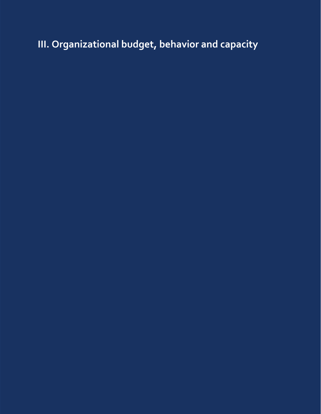# **III. Organizational budget, behavior and capacity**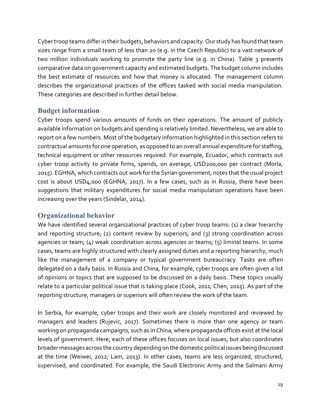Cyber troop teams differ in their budgets, behaviors and capacity. Our study has found that team sizes range from a small team of less than 20 (e.g. in the Czech Republic) to a vast network of two million individuals working to promote the party line (e.g. in China). Table 3 presents comparative data on government capacity and estimated budgets. The budget column includes the best estimate of resources and how that money is allocated. The management column describes the organizational practices of the offices tasked with social media manipulation. These categories are described in further detail below.

#### **Budget information**

Cyber troops spend various amounts of funds on their operations. The amount of publicly available information on budgets and spending is relatively limited.Nevertheless, we are able to report on a few numbers. Most of the budgetary information highlighted in this section refers to contractual amounts for one operation, as opposed to an overall annual expenditure for staffing, technical equipment or other resources required. For example, Ecuador, which contracts out cyber troop activity to private firms, spends, on average, USD200,000 per contract (Morla, 2015). EGHNA, which contracts out work for the Syrian government, notes that the usual project cost is about USD4,000 (EGHNA, 2017). In a few cases, such as in Russia, there have been suggestions that military expenditures for social media manipulation operations have been increasing over the years (Sindelar, 2014).

#### **Organizational behavior**

We have identified several organizational practices of cyber troop teams: (1) a clear hierarchy and reporting structure; (2) content review by superiors; and (3) strong coordination across agencies or team; (4) weak coordination across agencies or teams; (5) liminal teams. In some cases, teams are highly structured with clearly assigned duties and a reporting hierarchy, much like the management of a company or typical government bureaucracy. Tasks are often delegated on a daily basis. In Russia and China, for example, cyber troops are often given a list of opinions or topics that are supposed to be discussed on a daily basis. These topics usually relate to a particular political issue that is taking place (Cook, 2011; Chen, 2015). As part of the reporting structure, managers or superiors will often review the work of the team.

In Serbia, for example, cyber troops and their work are closely monitored and reviewed by managers and leaders (Rujevic, 2017). Sometimes there is more than one agency or team working on propaganda campaigns, such as in China, where propaganda offices exist at the local levels of government. Here, each of these offices focuses on local issues, but also coordinates broader messages across the country depending on the domestic political issues being discussed at the time (Weiwei, 2012; Lam, 2013). In other cases, teams are less organized, structured, supervised, and coordinated. For example, the Saudi Electronic Army and the Salmani Army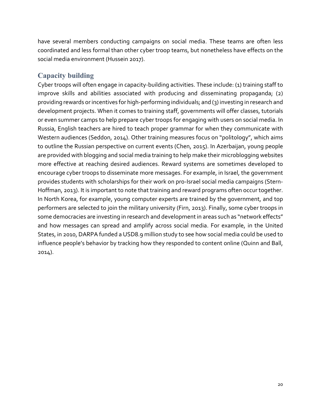have several members conducting campaigns on social media. These teams are often less coordinated and less formal than other cyber troop teams, but nonetheless have effects on the social media environment (Hussein 2017).

#### **Capacity building**

Cyber troops will often engage in capacity‐building activities. These include: (1) training staff to improve skills and abilities associated with producing and disseminating propaganda; (2) providing rewards or incentives for high-performing individuals; and (3) investing in research and development projects. When it comes to training staff, governments will offer classes, tutorials or even summer camps to help prepare cyber troops for engaging with users on social media. In Russia, English teachers are hired to teach proper grammar for when they communicate with Western audiences (Seddon, 2014). Other training measures focus on "politology", which aims to outline the Russian perspective on current events (Chen, 2015). In Azerbaijan, young people are provided with blogging and social media training to help make their microblogging websites more effective at reaching desired audiences. Reward systems are sometimes developed to encourage cyber troops to disseminate more messages. For example, in Israel, the government provides students with scholarships for their work on pro-Israel social media campaigns (Stern-Hoffman, 2013). It is important to note that training and reward programs often occur together. In North Korea, for example, young computer experts are trained by the government, and top performers are selected to join the military university (Firn, 2013). Finally, some cyber troops in some democracies are investing in research and development in areas such as "network effects" and how messages can spread and amplify across social media. For example, in the United States, in 2010, DARPA funded a USD8.9 million study to see how social media could be used to influence people's behavior by tracking how they responded to content online (Quinn and Ball, 2014).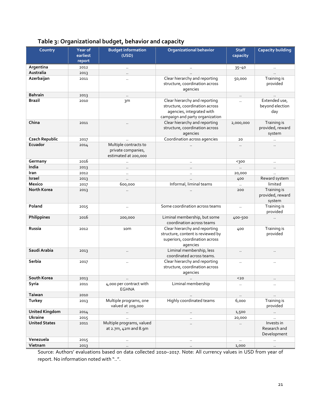| Table 3: Organizational budget, behavior and capacity |  |  |
|-------------------------------------------------------|--|--|
|                                                       |  |  |

| Country               | Year of<br>earliest | <b>Budget information</b><br>(USD)                                  | <b>Organizational behavior</b>                                                                                                  | <b>Staff</b><br>capacity | <b>Capacity building</b>                  |
|-----------------------|---------------------|---------------------------------------------------------------------|---------------------------------------------------------------------------------------------------------------------------------|--------------------------|-------------------------------------------|
|                       | report              |                                                                     |                                                                                                                                 |                          |                                           |
| Argentina             | 2012                | $\ddot{\phantom{a}}$                                                |                                                                                                                                 | $35 - 40$                | $\ddotsc$                                 |
| Australia             | 2013                | $\ddotsc$                                                           |                                                                                                                                 |                          |                                           |
| Azerbaijan            | 2011                | $\ddotsc$                                                           | Clear hierarchy and reporting<br>structure, coordination across<br>agencies                                                     | 50,000                   | Training is<br>provided                   |
| <b>Bahrain</b>        | 2013                | $\ddotsc$                                                           |                                                                                                                                 | Ω.                       |                                           |
| <b>Brazil</b>         | 2010                | зm                                                                  | Clear hierarchy and reporting<br>structure, coordination across<br>agencies, integrated with<br>campaign and party organization | $\ddot{\phantom{1}}$     | Extended use,<br>beyond election<br>day   |
| China                 | 2011                | $\ddotsc$                                                           | Clear hierarchy and reporting<br>structure, coordination across<br>agencies                                                     | 2,000,000                | Training is<br>provided, reward<br>system |
| <b>Czech Republic</b> | 2017                |                                                                     | Coordination across agencies                                                                                                    | 20                       |                                           |
| Ecuador               | 2014                | Multiple contracts to<br>private companies,<br>estimated at 200,000 |                                                                                                                                 | $\ddotsc$                | $\ddotsc$                                 |
| Germany               | 2016                | $\ddotsc$                                                           | $\ddotsc$                                                                                                                       | $300$                    | $\ldots$                                  |
| India                 | 2013                | $\ddot{\phantom{a}}$                                                | $\ddotsc$                                                                                                                       | $\ddotsc$                | $\ddotsc$                                 |
| Iran                  | 2012                | $\ddot{\phantom{a}}$                                                | $\ddotsc$                                                                                                                       | 20,000                   | $\ddot{\phantom{a}}$                      |
| Israel                | 2013                | $\ddot{\phantom{a}}$                                                |                                                                                                                                 | 400                      | Reward system                             |
| Mexico                | 2017                | 600,000                                                             | Informal, liminal teams                                                                                                         | $\cdot$ .                | limited                                   |
| <b>North Korea</b>    | 2013                | $\ddot{\phantom{a}}$                                                |                                                                                                                                 | 200                      | Training is<br>provided, reward<br>system |
| Poland                | 2015                | $\ddot{\phantom{a}}$                                                | Some coordination across teams                                                                                                  | $\ddot{\phantom{1}}$     | Training is<br>provided                   |
| Philippines           | 2016                | 200,000                                                             | Liminal membership, but some<br>coordination across teams                                                                       | 400-500                  | $\ddotsc$                                 |
| Russia                | 2012                | 10 <sub>m</sub>                                                     | Clear hierarchy and reporting<br>structure, content is reviewed by<br>superiors, coordination across<br>agencies                | 400                      | Training is<br>provided                   |
| Saudi Arabia          | 2013                | $\ddotsc$                                                           | Liminal membership, less<br>coordinated across teams.                                                                           | $\ddotsc$                | $\ddotsc$                                 |
| Serbia                | 2017                | $\ddotsc$                                                           | Clear hierarchy and reporting<br>structure, coordination across<br>agencies                                                     | $\ddotsc$                | $\ddotsc$                                 |
| South Korea           | 2013                |                                                                     |                                                                                                                                 | $20$                     |                                           |
| Syria                 | 2011                | 4,000 per contract with<br><b>EGHNA</b>                             | Liminal membership                                                                                                              | $\sim$                   | $\ldots$                                  |
| <b>Taiwan</b>         | 2010                |                                                                     |                                                                                                                                 | $\ldots$                 | Ω.                                        |
| Turkey                | 2013                | Multiple programs, one<br>valued at 209,000                         | Highly coordinated teams                                                                                                        | 6,000                    | Training is<br>provided                   |
| <b>United Kingdom</b> | 2014                | $\sim$                                                              | $\ddotsc$                                                                                                                       | 1,500                    | $\ldots$                                  |
| <b>Ukraine</b>        | 2015                | $\ddot{\phantom{1}}$                                                | $\ddotsc$                                                                                                                       | 20,000                   | $\ddotsc$                                 |
| <b>United States</b>  | 2011                | Multiple programs, valued<br>at 2.7m, 42m and 8.9m                  | $\cdot$ .                                                                                                                       | $\ddotsc$                | Invests in<br>Research and<br>Development |
| Venezuela             | 2015                | $\ddot{\phantom{a}}$                                                |                                                                                                                                 | $\ddotsc$                | $\ddotsc$                                 |
| Vietnam               | 2013                | $\ddot{\phantom{a}}$                                                | $\ddotsc$                                                                                                                       | 1,000                    | $\ldots$                                  |

Source: Authors' evaluations based on data collected 2010–2017. Note: All currency values in USD from year of report. No information noted with "..".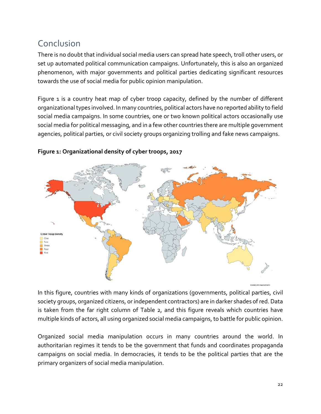# Conclusion

There is no doubt that individual social media users can spread hate speech, troll other users, or set up automated political communication campaigns. Unfortunately, this is also an organized phenomenon, with major governments and political parties dedicating significant resources towards the use of social media for public opinion manipulation.

Figure 1 is a country heat map of cyber troop capacity, defined by the number of different organizational types involved. In many countries, political actors have no reported ability to field social media campaigns. In some countries, one or two known political actors occasionally use social media for political messaging, and in a few other countries there are multiple government agencies, political parties, or civil society groups organizing trolling and fake news campaigns.



#### **Figure 1: Organizational density of cyber troops, 2017**

In this figure, countries with many kinds of organizations (governments, political parties, civil society groups, organized citizens, or independent contractors) are in darker shades of red. Data is taken from the far right column of Table 2, and this figure reveals which countries have multiple kinds of actors, all using organized social media campaigns, to battle for public opinion.

Organized social media manipulation occurs in many countries around the world. In authoritarian regimes it tends to be the government that funds and coordinates propaganda campaigns on social media. In democracies, it tends to be the political parties that are the primary organizers of social media manipulation.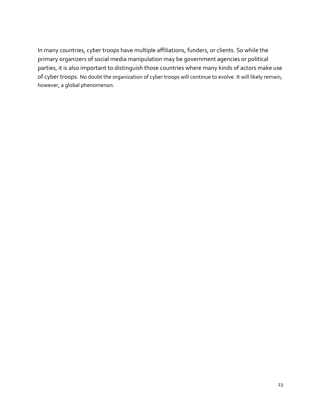In many countries, cyber troops have multiple affiliations, funders, or clients. So while the primary organizers of social media manipulation may be government agencies or political parties, it is also important to distinguish those countries where many kinds of actors make use of cyber troops. No doubt the organization of cyber troops will continue to evolve. It will likely remain, however, a global phenomenon.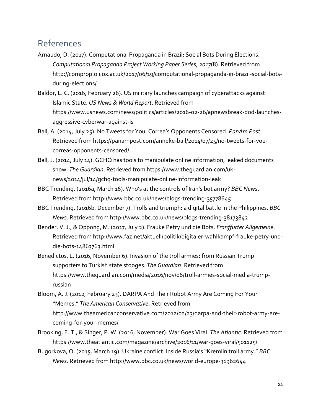### References

- Arnaudo, D. (2017). Computational Propaganda in Brazil: Social Bots During Elections. *Computational Propaganda Project Working Paper Series*, *2017*(8). Retrieved from http://comprop.oii.ox.ac.uk/2017/06/19/computational‐propaganda‐in‐brazil‐social‐bots‐ during‐elections/
- Baldor, L. C. (2016, February 26). US military launches campaign of cyberattacks against Islamic State. *US News & World Report*. Retrieved from https://www.usnews.com/news/politics/articles/2016‐02‐26/apnewsbreak‐dod‐launches‐ aggressive‐cyberwar‐against‐is
- Ball, A. (2014, July 25). No Tweets for You: Correa's Opponents Censored. *PanAm Post*. Retrieved from https://panampost.com/anneke‐ball/2014/07/25/no‐tweets‐for‐you‐ correas‐opponents‐censored/
- Ball, J. (2014, July 14). GCHQ has tools to manipulate online information, leaked documents show. *The Guardian*. Retrieved from https://www.theguardian.com/uk‐ news/2014/jul/14/gchq‐tools‐manipulate‐online‐information‐leak
- BBC Trending. (2016a, March 16). Who's at the controls of Iran's bot army? *BBC News*. Retrieved from http://www.bbc.co.uk/news/blogs‐trending‐35778645
- BBC Trending. (2016b, December 7). Trolls and triumph: a digital battle in the Philippines. *BBC News*. Retrieved from http://www.bbc.co.uk/news/blogs‐trending‐38173842
- Bender, V. J., & Oppong, M. (2017, July 2). Frauke Petry und die Bots. *Franffurter Allgemeine*. Retrieved from http://www.faz.net/aktuell/politik/digitaler‐wahlkampf‐frauke‐petry‐und‐ die‐bots‐14863763.html
- Benedictus, L. (2016, November 6). Invasion of the troll armies: from Russian Trump supporters to Turkish state stooges. *The Guardian*. Retrieved from https://www.thequardian.com/media/2016/nov/06/troll-armies-social-media-trumprussian
- Bloom, A. J. (2012, February 23). DARPA And Their Robot Army Are Coming For Your "Memes." *The American Conservative*. Retrieved from http://www.theamericanconservative.com/2012/02/23/darpa-and-their-robot-army-arecoming‐for‐your‐memes/
- Brooking, E. T., & Singer, P. W. (2016, November). War Goes Viral. *The Atlantic*. Retrieved from https://www.theatlantic.com/magazine/archive/2016/11/war-goes-viral/501125/
- Bugorkova, O. (2015, March 19). Ukraine conflict: Inside Russia's "Kremlin troll army." *BBC News*. Retrieved from http://www.bbc.co.uk/news/world‐europe‐31962644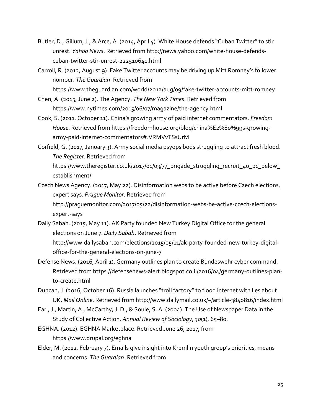- Butler, D., Gillum, J., & Arce, A. (2014, April 4). White House defends "Cuban Twitter" to stir unrest. *Yahoo News*. Retrieved from http://news.yahoo.com/white‐house‐defends‐ cuban‐twitter‐stir‐unrest‐222510641.html
- Carroll, R. (2012, August 9). Fake Twitter accounts may be driving up Mitt Romney's follower number. *The Guardian*. Retrieved from https://www.theguardian.com/world/2012/aug/09/fake‐twitter‐accounts‐mitt‐romney
- Chen, A. (2015, June 2). The Agency. *The New York Times*. Retrieved from https://www.nytimes.com/2015/06/07/magazine/the‐agency.html
- Cook, S. (2011, October 11). China's growing army of paid internet commentators. *Freedom House*. Retrieved from https://freedomhouse.org/blog/china%E2%80%99s‐growing‐ army‐paid‐internet‐commentators#.VRMVvTSsUrM
- Corfield, G. (2017, January 3). Army social media psyops bods struggling to attract fresh blood. *The Register*. Retrieved from https://www.theregister.co.uk/2017/01/03/77\_brigade\_struggling\_recruit\_40\_pc\_below\_ establishment/

Czech News Agency. (2017, May 22). Disinformation webs to be active before Czech elections, expert says. *Prague Monitor*. Retrieved from http://praguemonitor.com/2017/05/22/disinformation-webs-be-active-czech-electionsexpert‐says

- Daily Sabah. (2015, May 11). AK Party founded New Turkey Digital Office for the general elections on June 7. *Daily Sabah*. Retrieved from http://www.dailysabah.com/elections/2015/05/11/ak‐party‐founded‐new‐turkey‐digital‐ office‐for‐the‐general‐elections‐on‐june‐7
- Defense News. (2016, April 1). Germany outlines plan to create Bundeswehr cyber command. Retrieved from https://defensenews‐alert.blogspot.co.il/2016/04/germany‐outlines‐plan‐ to‐create.html
- Duncan, J. (2016, October 16). Russia launches "troll factory" to flood internet with lies about UK. *Mail Online*. Retrieved from http://www.dailymail.co.uk/~/article‐3840816/index.html
- Earl, J., Martin, A., McCarthy, J. D., & Soule, S. A. (2004). The Use of Newspaper Data in the Study of Collective Action. *Annual Review of Sociology*, *30*(1), 65–80.
- EGHNA. (2012). EGHNA Marketplace. Retrieved June 26, 2017, from https://www.drupal.org/eghna
- Elder, M. (2012, February 7). Emails give insight into Kremlin youth group's priorities, means and concerns. *The Guardian*. Retrieved from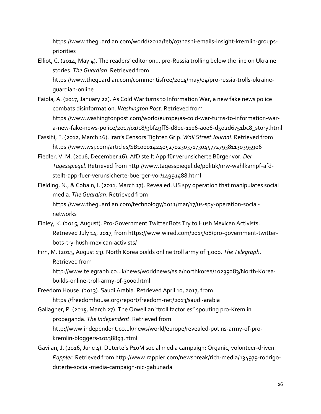https://www.theguardian.com/world/2012/feb/07/nashi-emails-insight-kremlin-groupspriorities

- Elliot, C. (2014, May 4). The readers' editor on… pro‐Russia trolling below the line on Ukraine stories. *The Guardian*. Retrieved from https://www.theguardian.com/commentisfree/2014/may/04/pro‐russia‐trolls‐ukraine‐ guardian‐online
- Faiola, A. (2017, January 22). As Cold War turns to Information War, a new fake news police combats disinformation. *Washington Post*. Retrieved from https://www.washingtonpost.com/world/europe/as‐cold‐war‐turns‐to‐information‐war‐ a-new-fake-news-police/2017/01/18/9bf49ff6-d80e-11e6-a0e6-d502d6751bc8\_story.html
- Fassihi, F. (2012, March 16). Iran's Censors Tighten Grip. *Wall Street Journal*. Retrieved from https://www.wsj.com/articles/SB10001424052702303717304577279381130395906
- Fiedler, V. M. (2016, December 16). AfD stellt App für verunsicherte Bürger vor. *Der Tagesspiegel*. Retrieved from http://www.tagesspiegel.de/politik/nrw‐wahlkampf‐afd‐ stellt‐app‐fuer‐verunsicherte‐buerger‐vor/14991488.html

Fielding, N., & Cobain, I. (2011, March 17). Revealed: US spy operation that manipulates social media. *The Guardian*. Retrieved from https://www.theguardian.com/technology/2011/mar/17/us-spy-operation-socialnetworks

- Finley, K. (2015, August). Pro‐Government Twitter Bots Try to Hush Mexican Activists. Retrieved July 14, 2017, from https://www.wired.com/2015/08/pro‐government‐twitter‐ bots‐try‐hush‐mexican‐activists/
- Firn, M. (2013, August 13). North Korea builds online troll army of 3,000. *The Telegraph*. Retrieved from

http://www.telegraph.co.uk/news/worldnews/asia/northkorea/10239283/North-Koreabuilds‐online‐troll‐army‐of‐3000.html

- Freedom House. (2013). Saudi Arabia. Retrieved April 10, 2017, from https://freedomhouse.org/report/freedom‐net/2013/saudi‐arabia
- Gallagher, P. (2015, March 27). The Orwellian "troll factories" spouting pro‐Kremlin propaganda. *The Independent*. Retrieved from http://www.independent.co.uk/news/world/europe/revealed‐putins‐army‐of‐pro‐ kremlin‐bloggers‐10138893.html
- Gavilan, J. (2016, June 4). Duterte's P10M social media campaign: Organic, volunteer‐driven. *Rappler*. Retrieved from http://www.rappler.com/newsbreak/rich‐media/134979‐rodrigo‐ duterte‐social‐media‐campaign‐nic‐gabunada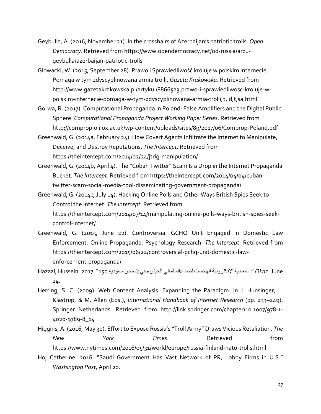- Geybulla, A. (2016, November 21). In the crosshairs of Azerbaijan's patriotic trolls. *Open Democracy*. Retrieved from https://www.opendemocracy.net/od‐russia/arzu‐ geybulla/azerbaijan‐patriotic‐trolls
- Glowacki, W. (2015, September 28). Prawo i Sprawiedliwość króluje w polskim internecie. Pomaga w tym zdyscyplinowana armia trolli. *Gazeta Krakowska*. Retrieved from http://www.gazetakrakowska.pl/artykul/8866523,prawo‐i‐sprawiedliwosc‐kroluje‐w‐ polskim‐internecie‐pomaga‐w‐tym‐zdyscyplinowana‐armia‐trolli,3,id,t,sa.html
- Gorwa, R. (2017). Computational Propaganda in Poland: False Amplifiers and the Digital Public Sphere. *Computational Propaganda Project Working Paper Series*. Retrieved from http://comprop.oii.ox.ac.uk/wp‐content/uploads/sites/89/2017/06/Comprop‐Poland.pdf
- Greenwald, G. (2014a, February 24). How Covert Agents Infiltrate the Internet to Manipulate, Deceive, and Destroy Reputations. *The Intercept*. Retrieved from https://theintercept.com/2014/02/24/jtrig‐manipulation/
- Greenwald, G. (2014b, April 4). The "Cuban Twitter" Scam Is a Drop in the Internet Propaganda Bucket. *The Intercept*. Retrieved from https://theintercept.com/2014/04/04/cuban‐ twitter‐scam‐social‐media‐tool‐disseminating‐government‐propaganda/
- Greenwald, G. (2014c, July 14). Hacking Online Polls and Other Ways British Spies Seek to Control the Internet. *The Intercept*. Retrieved from https://theintercept.com/2014/07/14/manipulating‐online‐polls‐ways‐british‐spies‐seek‐ control‐internet/
- Greenwald, G. (2015, June 22). Controversial GCHQ Unit Engaged in Domestic Law Enforcement, Online Propaganda, Psychology Research. *The Intercept*. Retrieved from https://theintercept.com/2015/06/22/controversial‐gchq‐unit‐domestic‐law‐ enforcement‐propaganda/
- June .*Okaz*" .المعادية الإلكترونية الهجمات لصد «السلماني الجيش» في يتسلحن سعودية 150"2017. .Hussein ,Hazazi 14.
- Herring, S. C. (2009). Web Content Analysis: Expanding the Paradigm. In J. Hunsinger, L. Klastrup, & M. Allen (Eds.), *International Handbook of Internet Research* (pp. 233–249). Springer Netherlands. Retrieved from http://link.springer.com/chapter/10.1007/978‐1‐ 4020‐9789‐8\_14
- Higgins, A. (2016, May 30). Effort to Expose Russia's "Troll Army" Draws Vicious Retaliation. *The New York Times*. Retrieved from https://www.nytimes.com/2016/05/31/world/europe/russia‐finland‐nato‐trolls.html
- Ho, Catherine. 2016. "Saudi Government Has Vast Network of PR, Lobby Firms in U.S." *Washington Post*, April 20.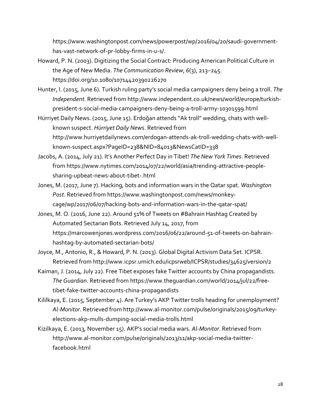https://www.washingtonpost.com/news/powerpost/wp/2016/04/20/saudi‐government‐ has‐vast‐network‐of‐pr‐lobby‐firms‐in‐u‐s/.

- Howard, P. N. (2003). Digitizing the Social Contract: Producing American Political Culture in the Age of New Media. *The Communication Review*, *6*(3), 213–245. https://doi.org/10.1080/10714420390226270
- Hunter, I. (2015, June 6). Turkish ruling party's social media campaigners deny being a troll. *The Independent*. Retrieved from http://www.independent.co.uk/news/world/europe/turkish‐ president‐s‐social‐media‐campaigners‐deny‐being‐a‐troll‐army‐10301599.html
- Hürriyet Daily News. (2015, June 15). Erdoğan attends "Ak troll" wedding, chats with well‐ known suspect. *Hürriyet Daily News*. Retrieved from http://www.hurriyetdailynews.com/erdogan‐attends‐ak‐troll‐wedding‐chats‐with‐well‐ known‐suspect.aspx?PageID=238&NID=84013&NewsCatID=338
- Jacobs, A. (2014, July 21). It's Another Perfect Day in Tibet! *The New York Times*. Retrieved from https://www.nytimes.com/2014/07/22/world/asia/trending‐attractive‐people‐ sharing‐upbeat‐news‐about‐tibet‐.html
- Jones, M. (2017, June 7). Hacking, bots and information wars in the Qatar spat. *Washington Post*. Retrieved from https://www.washingtonpost.com/news/monkey‐ cage/wp/2017/06/07/hacking-bots-and-information-wars-in-the-gatar-spat/
- Jones, M. O. (2016, June 22). Around 51% of Tweets on #Bahrain Hashtag Created by Automated Sectarian Bots. Retrieved July 14, 2017, from https://marcowenjones.wordpress.com/2016/06/22/around-51-of-tweets-on-bahrainhashtag‐by‐automated‐sectarian‐bots/
- Joyce, M., Antonio, R., & Howard, P. N. (2013). Global Digital Activism Data Set. ICPSR. Retrieved from http://www.icpsr.umich.edu/icpsrweb/ICPSR/studies/34625/version/2
- Kaiman, J. (2014, July 22). Free Tibet exposes fake Twitter accounts by China propagandists. *The Guardian*. Retrieved from https://www.theguardian.com/world/2014/jul/22/free‐ tibet‐fake‐twitter‐accounts‐china‐propagandists
- Kililkaya, E. (2015, September 4). Are Turkey's AKP Twitter trolls heading for unemployment? *Al‐Monitor*. Retrieved from http://www.al‐monitor.com/pulse/originals/2015/09/turkey‐ elections‐akp‐mulls‐dumping‐social‐media‐trolls.html
- Kizilkaya, E. (2013, November 15). AKP's social media wars. *Al‐Monitor*. Retrieved from http://www.al-monitor.com/pulse/originals/2013/11/akp-social-media-twitterfacebook.html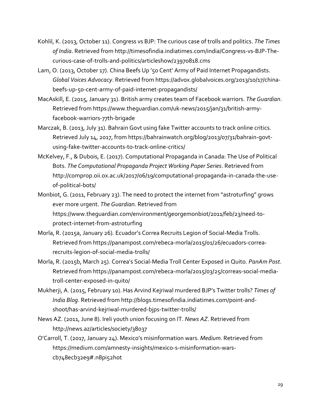- Kohlil, K. (2013, October 11). Congress vs BJP: The curious case of trolls and politics. *The Times of India*. Retrieved from http://timesofindia.indiatimes.com/india/Congress‐vs‐BJP‐The‐ curious‐case‐of‐trolls‐and‐politics/articleshow/23970818.cms
- Lam, O. (2013, October 17). China Beefs Up '50 Cent' Army of Paid Internet Propagandists. *Global Voices Advocacy*. Retrieved from https://advox.globalvoices.org/2013/10/17/china‐ beefs‐up‐50‐cent‐army‐of‐paid‐internet‐propagandists/
- MacAskill, E. (2015, January 31). British army creates team of Facebook warriors. *The Guardian*. Retrieved from https://www.theguardian.com/uk‐news/2015/jan/31/british‐army‐ facebook‐warriors‐77th‐brigade
- Marczak, B. (2013, July 31). Bahrain Govt using fake Twitter accounts to track online critics. Retrieved July 14, 2017, from https://bahrainwatch.org/blog/2013/07/31/bahrain‐govt‐ using-fake-twitter-accounts-to-track-online-critics/
- McKelvey, F., & Dubois, E. (2017). Computational Propaganda in Canada: The Use of Political Bots. *The Computational Propaganda Project Working Paper Series*. Retrieved from http://comprop.oii.ox.ac.uk/2017/06/19/computational-propaganda-in-canada-the-useof‐political‐bots/
- Monbiot, G. (2011, February 23). The need to protect the internet from "astroturfing" grows ever more urgent. *The Guardian*. Retrieved from https://www.theguardian.com/environment/georgemonbiot/2011/feb/23/need-toprotect‐internet‐from‐astroturfing
- Morla, R. (2015a, January 26). Ecuador's Correa Recruits Legion of Social‐Media Trolls. Retrieved from https://panampost.com/rebeca‐morla/2015/01/26/ecuadors‐correa‐ recruits‐legion‐of‐social‐media‐trolls/
- Morla, R. (2015b, March 25). Correa's Social‐Media Troll Center Exposed in Quito. *PanAm Post*. Retrieved from https://panampost.com/rebeca‐morla/2015/03/25/correas‐social‐media‐ troll‐center‐exposed‐in‐quito/
- Mukherji, A. (2015, February 10). Has Arvind Kejriwal murdered BJP's Twitter trolls? *Times of India Blog*. Retrieved from http://blogs.timesofindia.indiatimes.com/point‐and‐ shoot/has‐arvind‐kejriwal‐murdered‐bjps‐twitter‐trolls/
- News AZ. (2011, June 8). Ireli youth union focusing on IT. *News AZ*. Retrieved from http://news.az/articles/society/38037
- O'Carroll, T. (2017, January 24). Mexico's misinformation wars. *Medium*. Retrieved from https://medium.com/amnesty-insights/mexico-s-misinformation-warscb748ecb32e9#.n8pi52hot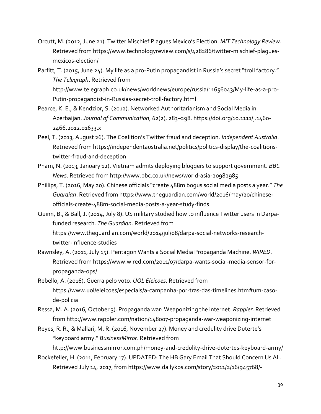- Orcutt, M. (2012, June 21). Twitter Mischief Plagues Mexico's Election. *MIT Technology Review*. Retrieved from https://www.technologyreview.com/s/428286/twitter‐mischief‐plagues‐ mexicos‐election/
- Parfitt, T. (2015, June 24). My life as a pro-Putin propagandist in Russia's secret "troll factory." *The Telegraph*. Retrieved from http://www.telegraph.co.uk/news/worldnews/europe/russia/11656043/My‐life‐as‐a‐pro‐ Putin‐propagandist‐in‐Russias‐secret‐troll‐factory.html
- Pearce, K. E., & Kendzior, S. (2012). Networked Authoritarianism and Social Media in Azerbaijan. *Journal of Communication*, *62*(2), 283–298. https://doi.org/10.1111/j.1460‐ 2466.2012.01633.x
- Peel, T. (2013, August 26). The Coalition's Twitter fraud and deception. *Independent Australia*. Retrieved from https://independentaustralia.net/politics/politics‐display/the‐coalitions‐ twitter‐fraud‐and‐deception
- Pham, N. (2013, January 12). Vietnam admits deploying bloggers to support government. *BBC News*. Retrieved from http://www.bbc.co.uk/news/world‐asia‐20982985
- Phillips, T. (2016, May 20). Chinese officials "create 488m bogus social media posts a year." *The Guardian*. Retrieved from https://www.theguardian.com/world/2016/may/20/chinese‐ officials‐create‐488m‐social‐media‐posts‐a‐year‐study‐finds
- Quinn, B., & Ball, J. (2014, July 8). US military studied how to influence Twitter users in Darpa‐ funded research. *The Guardian*. Retrieved from https://www.theguardian.com/world/2014/jul/08/darpa‐social‐networks‐research‐ twitter‐influence‐studies
- Rawnsley, A. (2011, July 15). Pentagon Wants a Social Media Propaganda Machine. *WIRED*. Retrieved from https://www.wired.com/2011/07/darpa‐wants‐social‐media‐sensor‐for‐ propaganda‐ops/
- Rebello, A. (2016). Guerra pelo voto. *UOL Eleicoes*. Retrieved from https://www.uol/eleicoes/especiais/a‐campanha‐por‐tras‐das‐timelines.htm#um‐caso‐ de‐policia
- Ressa, M. A. (2016, October 3). Propaganda war: Weaponizing the internet. *Rappler*. Retrieved from http://www.rappler.com/nation/148007‐propaganda‐war‐weaponizing‐internet
- Reyes, R. R., & Mallari, M. R. (2016, November 27). Money and credulity drive Duterte's "keyboard army." *BusinessMirror*. Retrieved from http://www.businessmirror.com.ph/money-and-credulity-drive-dutertes-keyboard-army/
- Rockefeller, H. (2011, February 17). UPDATED: The HB Gary Email That Should Concern Us All. Retrieved July 14, 2017, from https://www.dailykos.com/story/2011/2/16/945768/‐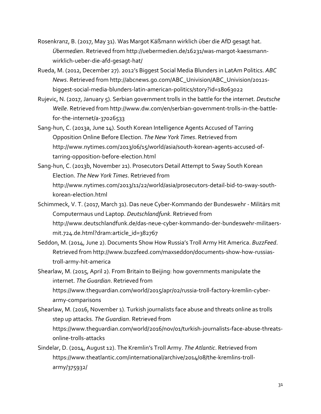- Rosenkranz, B. (2017, May 31). Was Margot Käßmann wirklich über die AfD gesagt hat. *Übermedien*. Retrieved from http://uebermedien.de/16231/was‐margot‐kaessmann‐ wirklich‐ueber‐die‐afd‐gesagt‐hat/
- Rueda, M. (2012, December 27). 2012's Biggest Social Media Blunders in LatAm Politics. *ABC News*. Retrieved from http://abcnews.go.com/ABC\_Univision/ABC\_Univision/2012s‐ biggest‐social‐media‐blunders‐latin‐american‐politics/story?id=18063022
- Rujevic, N. (2017, January 5). Serbian government trolls in the battle for the internet. *Deutsche Welle*. Retrieved from http://www.dw.com/en/serbian‐government‐trolls‐in‐the‐battle‐ for‐the‐internet/a‐37026533
- Sang‐hun, C. (2013a, June 14). South Korean Intelligence Agents Accused of Tarring Opposition Online Before Election. *The New York Times*. Retrieved from http://www.nytimes.com/2013/06/15/world/asia/south‐korean‐agents‐accused‐of‐ tarring‐opposition‐before‐election.html
- Sang‐hun, C. (2013b, November 21). Prosecutors Detail Attempt to Sway South Korean Election. *The New York Times*. Retrieved from http://www.nytimes.com/2013/11/22/world/asia/prosecutors‐detail‐bid‐to‐sway‐south‐ korean‐election.html
- Schimmeck, V. T. (2017, March 31). Das neue Cyber‐Kommando der Bundeswehr ‐ Militärs mit Computermaus und Laptop. *Deutschlandfunk*. Retrieved from http://www.deutschlandfunk.de/das‐neue‐cyber‐kommando‐der‐bundeswehr‐militaers‐ mit.724.de.html?dram:article\_id=382767
- Seddon, M. (2014, June 2). Documents Show How Russia's Troll Army Hit America. *BuzzFeed*. Retrieved from http://www.buzzfeed.com/maxseddon/documents‐show‐how‐russias‐ troll‐army‐hit‐america

Shearlaw, M. (2015, April 2). From Britain to Beijing: how governments manipulate the internet. *The Guardian*. Retrieved from https://www.theguardian.com/world/2015/apr/02/russia‐troll‐factory‐kremlin‐cyber‐ army‐comparisons

Shearlaw, M. (2016, November 1). Turkish journalists face abuse and threats online as trolls step up attacks. *The Guardian*. Retrieved from https://www.theguardian.com/world/2016/nov/01/turkish‐journalists‐face‐abuse‐threats‐ online‐trolls‐attacks

Sindelar, D. (2014, August 12). The Kremlin's Troll Army. *The Atlantic*. Retrieved from https://www.theatlantic.com/international/archive/2014/08/the‐kremlins‐troll‐ army/375932/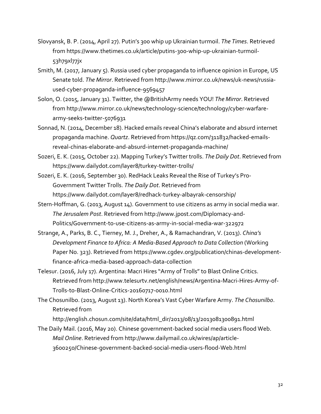- Slovyansk, B. P. (2014, April 27). Putin's 300 whip up Ukrainian turmoil. *The Times*. Retrieved from https://www.thetimes.co.uk/article/putins‐300‐whip‐up‐ukrainian‐turmoil‐ 53h79xl77jx
- Smith, M. (2017, January 5). Russia used cyber propaganda to influence opinion in Europe, US Senate told. *The Mirror*. Retrieved from http://www.mirror.co.uk/news/uk‐news/russia‐ used‐cyber‐propaganda‐influence‐9569457
- Solon, O. (2015, January 31). Twitter, the @BritishArmy needs YOU! *The Mirror*. Retrieved from http://www.mirror.co.uk/news/technology‐science/technology/cyber‐warfare‐ army‐seeks‐twitter‐5076931
- Sonnad, N. (2014, December 18). Hacked emails reveal China's elaborate and absurd internet propaganda machine. *Quartz*. Retrieved from https://qz.com/311832/hacked‐emails‐ reveal‐chinas‐elaborate‐and‐absurd‐internet‐propaganda‐machine/
- Sozeri, E. K. (2015, October 22). Mapping Turkey's Twitter trolls. *The Daily Dot*. Retrieved from https://www.dailydot.com/layer8/turkey‐twitter‐trolls/
- Sozeri, E. K. (2016, September 30). RedHack Leaks Reveal the Rise of Turkey's Pro‐ Government Twitter Trolls. *The Daily Dot*. Retrieved from https://www.dailydot.com/layer8/redhack‐turkey‐albayrak‐censorship/
- Stern-Hoffman, G. (2013, August 14). Government to use citizens as army in social media war. *The Jerusalem Post*. Retrieved from http://www.jpost.com/Diplomacy‐and‐ Politics/Government‐to‐use‐citizens‐as‐army‐in‐social‐media‐war‐322972
- Strange, A., Parks, B. C., Tierney, M. J., Dreher, A., & Ramachandran, V. (2013). *China's Development Finance to Africa: A Media‐Based Approach to Data Collection* (Working Paper No. 323). Retrieved from https://www.cgdev.org/publication/chinas-developmentfinance‐africa‐media‐based‐approach‐data‐collection
- Telesur. (2016, July 17). Argentina: Macri Hires "Army of Trolls" to Blast Online Critics. Retrieved from http://www.telesurtv.net/english/news/Argentina‐Macri‐Hires‐Army‐of‐ Trolls‐to‐Blast‐Online‐Critics‐20160717‐0010.html
- The Chosunilbo. (2013, August 13). North Korea's Vast Cyber Warfare Army. *The Chosunilbo*. Retrieved from

http://english.chosun.com/site/data/html\_dir/2013/08/13/2013081300891.html

The Daily Mail. (2016, May 20). Chinese government‐backed social media users flood Web. *Mail Online*. Retrieved from http://www.dailymail.co.uk/wires/ap/article‐ 3600250/Chinese‐government‐backed‐social‐media‐users‐flood‐Web.html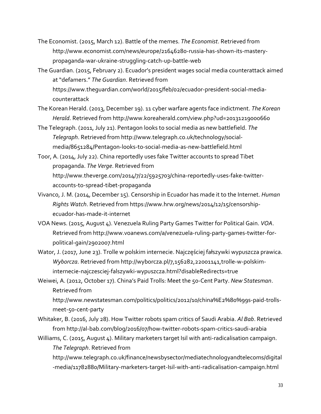- The Economist. (2015, March 12). Battle of the memes. *The Economist*. Retrieved from http://www.economist.com/news/europe/21646280‐russia‐has‐shown‐its‐mastery‐ propaganda‐war‐ukraine‐struggling‐catch‐up‐battle‐web
- The Guardian. (2015, February 2). Ecuador's president wages social media counterattack aimed at "defamers." *The Guardian*. Retrieved from https://www.thequardian.com/world/2015/feb/02/ecuador-president-social-mediacounterattack
- The Korean Herald. (2013, December 19). 11 cyber warfare agents face indictment. *The Korean Herald*. Retrieved from http://www.koreaherald.com/view.php?ud=20131219000660
- The Telegraph. (2011, July 21). Pentagon looks to social media as new battlefield. *The Telegraph*. Retrieved from http://www.telegraph.co.uk/technology/social‐ media/8651284/Pentagon‐looks‐to‐social‐media‐as‐new‐battlefield.html
- Toor, A. (2014, July 22). China reportedly uses fake Twitter accounts to spread Tibet propaganda. *The Verge*. Retrieved from http://www.theverge.com/2014/7/22/5925703/china‐reportedly‐uses‐fake‐twitter‐ accounts‐to‐spread‐tibet‐propaganda
- Vivanco, J. M. (2014, December 15). Censorship in Ecuador has made it to the Internet. *Human Rights Watch*. Retrieved from https://www.hrw.org/news/2014/12/15/censorship‐ ecuador‐has‐made‐it‐internet
- VOA News. (2015, August 4). Venezuela Ruling Party Games Twitter for Political Gain. *VOA*. Retrieved from http://www.voanews.com/a/venezuela‐ruling‐party‐games‐twitter‐for‐ political‐gain/2902007.html
- Wator, J. (2017, June 23). Trolle w polskim internecie. Najczęściej fałszywki wypuszcza prawica. *Wyborcza*. Retrieved from http://wyborcza.pl/7,156282,22001141,trolle‐w‐polskim‐ internecie‐najczesciej‐falszywki‐wypuszcza.html?disableRedirects=true
- Weiwei, A. (2012, October 17). China's Paid Trolls: Meet the 50‐Cent Party. *New Statesman*. Retrieved from http://www.newstatesman.com/politics/politics/2012/10/china%E2%80%99s-paid-trollsmeet‐50‐cent‐party
- Whitaker, B. (2016, July 28). How Twitter robots spam critics of Saudi Arabia. *Al Bab*. Retrieved from http://al‐bab.com/blog/2016/07/how‐twitter‐robots‐spam‐critics‐saudi‐arabia
- Williams, C. (2015, August 4). Military marketers target Isil with anti-radicalisation campaign. *The Telegraph*. Retrieved from

http://www.telegraph.co.uk/finance/newsbysector/mediatechnologyandtelecoms/digital ‐media/11782880/Military‐marketers‐target‐Isil‐with‐anti‐radicalisation‐campaign.html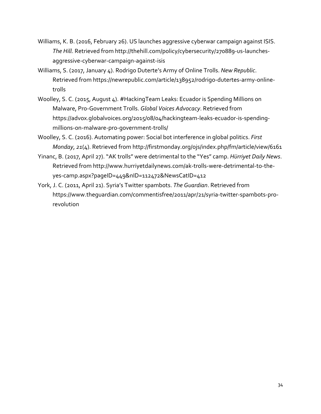- Williams, K. B. (2016, February 26). US launches aggressive cyberwar campaign against ISIS. *The Hill*. Retrieved from http://thehill.com/policy/cybersecurity/270889‐us‐launches‐ aggressive‐cyberwar‐campaign‐against‐isis
- Williams, S. (2017, January 4). Rodrigo Duterte's Army of Online Trolls. *New Republic*. Retrieved from https://newrepublic.com/article/138952/rodrigo‐dutertes‐army‐online‐ trolls
- Woolley, S. C. (2015, August 4). #HackingTeam Leaks: Ecuador is Spending Millions on Malware, Pro‐Government Trolls. *Global Voices Advocacy*. Retrieved from https://advox.globalvoices.org/2015/08/04/hackingteam‐leaks‐ecuador‐is‐spending‐ millions‐on‐malware‐pro‐government‐trolls/
- Woolley, S. C. (2016). Automating power: Social bot interference in global politics. *First Monday*, *21*(4). Retrieved from http://firstmonday.org/ojs/index.php/fm/article/view/6161
- Yinanc, B. (2017, April 27). "AK trolls" were detrimental to the "Yes" camp. *Hürriyet Daily News*. Retrieved from http://www.hurriyetdailynews.com/ak‐trolls‐were‐detrimental‐to‐the‐ yes‐camp.aspx?pageID=449&nID=112472&NewsCatID=412
- York, J. C. (2011, April 21). Syria's Twitter spambots. *The Guardian*. Retrieved from https://www.theguardian.com/commentisfree/2011/apr/21/syria‐twitter‐spambots‐pro‐ revolution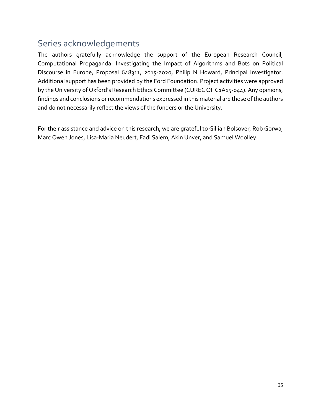### Series acknowledgements

The authors gratefully acknowledge the support of the European Research Council, Computational Propaganda: Investigating the Impact of Algorithms and Bots on Political Discourse in Europe, Proposal 648311, 2015‐2020, Philip N Howard, Principal Investigator. Additional support has been provided by the Ford Foundation. Project activities were approved by the University of Oxford's Research Ethics Committee (CUREC OII C1A15-044). Any opinions, findings and conclusions or recommendations expressed in this material are those of the authors and do not necessarily reflect the views of the funders or the University.

For their assistance and advice on this research, we are grateful to Gillian Bolsover, Rob Gorwa, Marc Owen Jones, Lisa‐Maria Neudert, Fadi Salem, Akin Unver, and Samuel Woolley.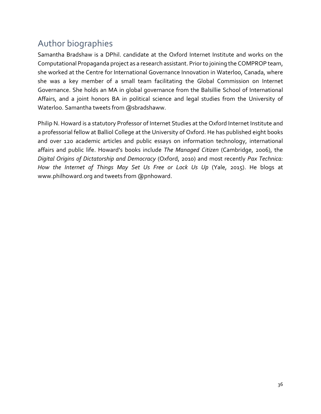# Author biographies

Samantha Bradshaw is a DPhil. candidate at the Oxford Internet Institute and works on the Computational Propaganda project as a research assistant. Priorto joining the COMPROP team, she worked at the Centre for International Governance Innovation in Waterloo, Canada, where she was a key member of a small team facilitating the Global Commission on Internet Governance. She holds an MA in global governance from the Balsillie School of International Affairs, and a joint honors BA in political science and legal studies from the University of Waterloo. Samantha tweets from @sbradshaww.

Philip N. Howard is a statutory Professor of Internet Studies at the Oxford Internet Institute and a professorial fellow at Balliol College at the University of Oxford. He has published eight books and over 120 academic articles and public essays on information technology, international affairs and public life. Howard's books include *The Managed Citizen* (Cambridge, 2006), the *Digital Origins of Dictatorship and Democracy* (Oxford, 2010) and most recently *Pax Technica: How the Internet of Things May Set Us Free or Lock Us Up* (Yale, 2015). He blogs at www.philhoward.org and tweets from @pnhoward.